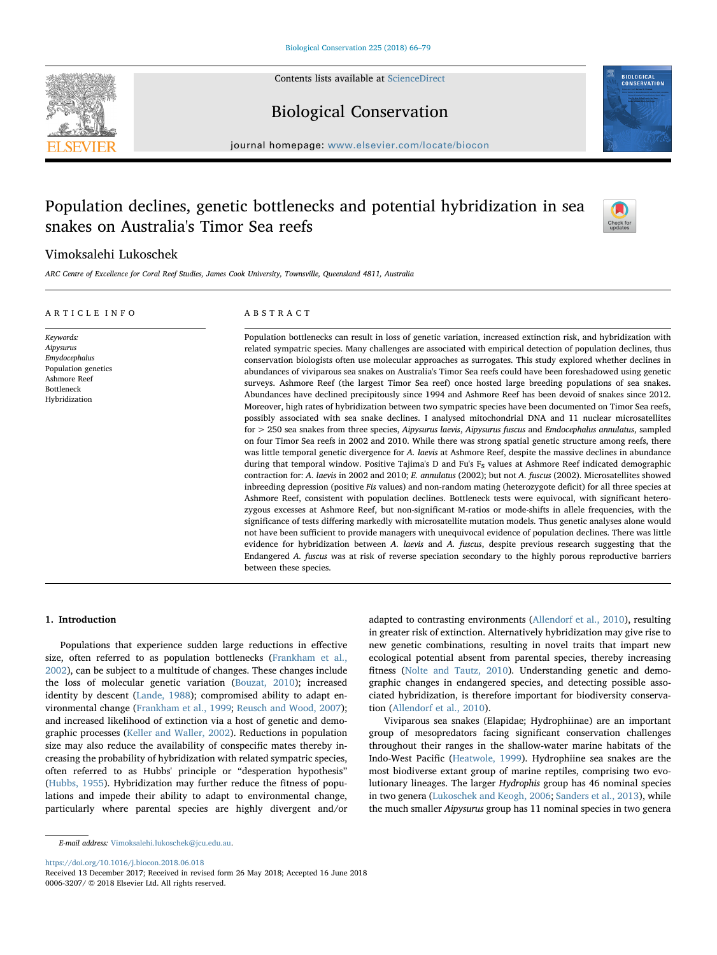

Contents lists available at [ScienceDirect](http://www.sciencedirect.com/science/journal/00063207)

## Biological Conservation

journal homepage: [www.elsevier.com/locate/biocon](https://www.elsevier.com/locate/biocon)

## Population declines, genetic bottlenecks and potential hybridization in sea snakes on Australia's Timor Sea reefs



### Vimoksalehi Lukoschek

ARC Centre of Excellence for Coral Reef Studies, James Cook University, Townsville, Queensland 4811, Australia

#### ARTICLE INFO Keywords: Aipysurus Emydocephalus Population genetics Ashmore Reef Bottleneck Hybridization ABSTRACT Population bottlenecks can result in loss of genetic variation, increased extinction risk, and hybridization with related sympatric species. Many challenges are associated with empirical detection of population declines, thus conservation biologists often use molecular approaches as surrogates. This study explored whether declines in abundances of viviparous sea snakes on Australia's Timor Sea reefs could have been foreshadowed using genetic surveys. Ashmore Reef (the largest Timor Sea reef) once hosted large breeding populations of sea snakes. Abundances have declined precipitously since 1994 and Ashmore Reef has been devoid of snakes since 2012. Moreover, high rates of hybridization between two sympatric species have been documented on Timor Sea reefs, possibly associated with sea snake declines. I analysed mitochondrial DNA and 11 nuclear microsatellites for > 250 sea snakes from three species, Aipysurus laevis, Aipysurus fuscus and Emdocephalus annulatus, sampled on four Timor Sea reefs in 2002 and 2010. While there was strong spatial genetic structure among reefs, there was little temporal genetic divergence for A. laevis at Ashmore Reef, despite the massive declines in abundance during that temporal window. Positive Tajima's D and Fu's  $F_S$  values at Ashmore Reef indicated demographic contraction for: A. laevis in 2002 and 2010; E. annulatus (2002); but not A. fuscus (2002). Microsatellites showed inbreeding depression (positive Fis values) and non-random mating (heterozygote deficit) for all three species at Ashmore Reef, consistent with population declines. Bottleneck tests were equivocal, with significant heterozygous excesses at Ashmore Reef, but non-significant M-ratios or mode-shifts in allele frequencies, with the significance of tests differing markedly with microsatellite mutation models. Thus genetic analyses alone would not have been sufficient to provide managers with unequivocal evidence of population declines. There was little evidence for hybridization between A. laevis and A. fuscus, despite previous research suggesting that the Endangered A. fuscus was at risk of reverse speciation secondary to the highly porous reproductive barriers between these species.

#### 1. Introduction

Populations that experience sudden large reductions in effective size, often referred to as population bottlenecks [\(Frankham et al.,](#page--1-0) [2002\)](#page--1-0), can be subject to a multitude of changes. These changes include the loss of molecular genetic variation [\(Bouzat, 2010\)](#page--1-1); increased identity by descent [\(Lande, 1988](#page--1-2)); compromised ability to adapt environmental change ([Frankham et al., 1999](#page--1-3); [Reusch and Wood, 2007](#page--1-4)); and increased likelihood of extinction via a host of genetic and demographic processes ([Keller and Waller, 2002](#page--1-5)). Reductions in population size may also reduce the availability of conspecific mates thereby increasing the probability of hybridization with related sympatric species, often referred to as Hubbs' principle or "desperation hypothesis" ([Hubbs, 1955](#page--1-6)). Hybridization may further reduce the fitness of populations and impede their ability to adapt to environmental change, particularly where parental species are highly divergent and/or

adapted to contrasting environments ([Allendorf et al., 2010\)](#page--1-7), resulting in greater risk of extinction. Alternatively hybridization may give rise to new genetic combinations, resulting in novel traits that impart new ecological potential absent from parental species, thereby increasing fitness ([Nolte and Tautz, 2010](#page--1-8)). Understanding genetic and demographic changes in endangered species, and detecting possible associated hybridization, is therefore important for biodiversity conservation [\(Allendorf et al., 2010\)](#page--1-7).

Viviparous sea snakes (Elapidae; Hydrophiinae) are an important group of mesopredators facing significant conservation challenges throughout their ranges in the shallow-water marine habitats of the Indo-West Pacific [\(Heatwole, 1999](#page--1-9)). Hydrophiine sea snakes are the most biodiverse extant group of marine reptiles, comprising two evolutionary lineages. The larger Hydrophis group has 46 nominal species in two genera [\(Lukoschek and Keogh, 2006;](#page--1-10) [Sanders et al., 2013\)](#page--1-11), while the much smaller Aipysurus group has 11 nominal species in two genera

<https://doi.org/10.1016/j.biocon.2018.06.018>

E-mail address: [Vimoksalehi.lukoschek@jcu.edu.au](mailto:Vimoksalehi.lukoschek@jcu.edu.au).

Received 13 December 2017; Received in revised form 26 May 2018; Accepted 16 June 2018 0006-3207/ © 2018 Elsevier Ltd. All rights reserved.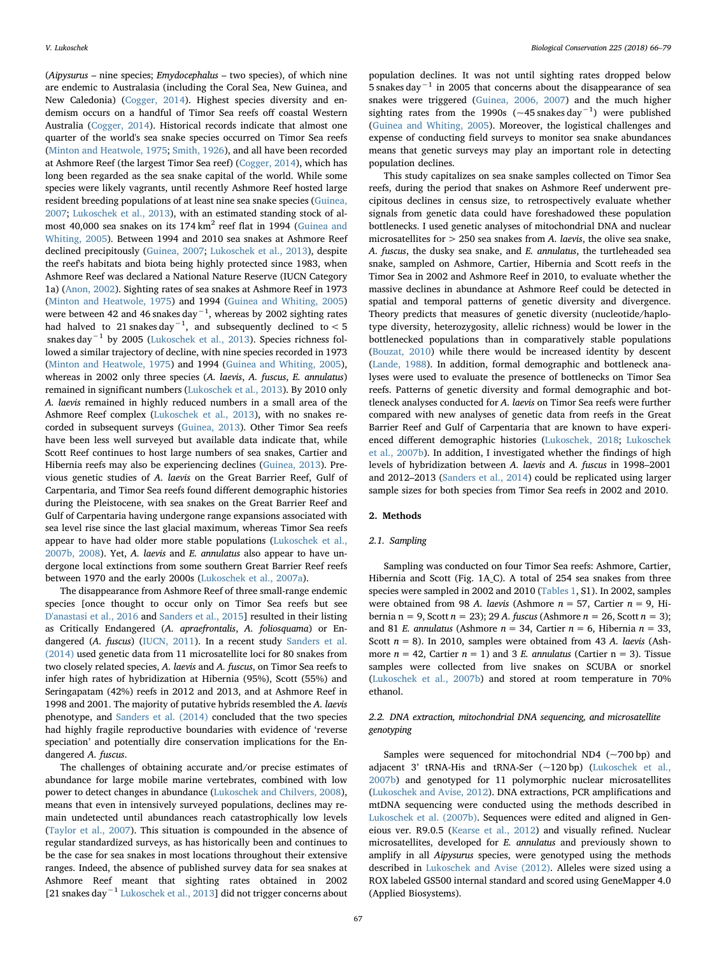(Aipysurus – nine species; Emydocephalus – two species), of which nine are endemic to Australasia (including the Coral Sea, New Guinea, and New Caledonia) [\(Cogger, 2014\)](#page--1-12). Highest species diversity and endemism occurs on a handful of Timor Sea reefs off coastal Western Australia ([Cogger, 2014](#page--1-12)). Historical records indicate that almost one quarter of the world's sea snake species occurred on Timor Sea reefs ([Minton and Heatwole, 1975](#page--1-13); [Smith, 1926](#page--1-14)), and all have been recorded at Ashmore Reef (the largest Timor Sea reef) ([Cogger, 2014\)](#page--1-12), which has long been regarded as the sea snake capital of the world. While some species were likely vagrants, until recently Ashmore Reef hosted large resident breeding populations of at least nine sea snake species [\(Guinea,](#page--1-15) [2007;](#page--1-15) [Lukoschek et al., 2013](#page--1-16)), with an estimated standing stock of almost 40,000 sea snakes on its  $174 \text{ km}^2$  reef flat in 1994 ([Guinea and](#page--1-17) [Whiting, 2005](#page--1-17)). Between 1994 and 2010 sea snakes at Ashmore Reef declined precipitously ([Guinea, 2007;](#page--1-15) [Lukoschek et al., 2013\)](#page--1-16), despite the reef's habitats and biota being highly protected since 1983, when Ashmore Reef was declared a National Nature Reserve (IUCN Category 1a) [\(Anon, 2002\)](#page--1-18). Sighting rates of sea snakes at Ashmore Reef in 1973 ([Minton and Heatwole, 1975\)](#page--1-13) and 1994 [\(Guinea and Whiting, 2005\)](#page--1-17) were between 42 and 46 snakes day $^{-1}$ , whereas by 2002 sighting rates had halved to 21 snakes day $^{-1}$ , and subsequently declined to < 5 snakes day−<sup>1</sup> by 2005 [\(Lukoschek et al., 2013](#page--1-16)). Species richness followed a similar trajectory of decline, with nine species recorded in 1973 ([Minton and Heatwole, 1975\)](#page--1-13) and 1994 ([Guinea and Whiting, 2005](#page--1-17)), whereas in 2002 only three species (A. laevis, A. fuscus, E. annulatus) remained in significant numbers [\(Lukoschek et al., 2013\)](#page--1-16). By 2010 only A. laevis remained in highly reduced numbers in a small area of the Ashmore Reef complex ([Lukoschek et al., 2013](#page--1-16)), with no snakes recorded in subsequent surveys ([Guinea, 2013](#page--1-19)). Other Timor Sea reefs have been less well surveyed but available data indicate that, while Scott Reef continues to host large numbers of sea snakes, Cartier and Hibernia reefs may also be experiencing declines ([Guinea, 2013](#page--1-19)). Previous genetic studies of A. laevis on the Great Barrier Reef, Gulf of Carpentaria, and Timor Sea reefs found different demographic histories during the Pleistocene, with sea snakes on the Great Barrier Reef and Gulf of Carpentaria having undergone range expansions associated with sea level rise since the last glacial maximum, whereas Timor Sea reefs appear to have had older more stable populations [\(Lukoschek et al.,](#page--1-20) [2007b, 2008](#page--1-20)). Yet, A. laevis and E. annulatus also appear to have undergone local extinctions from some southern Great Barrier Reef reefs between 1970 and the early 2000s [\(Lukoschek et al., 2007a\)](#page--1-21).

The disappearance from Ashmore Reef of three small-range endemic species [once thought to occur only on Timor Sea reefs but see [D'anastasi et al., 2016](#page--1-22) and [Sanders et al., 2015](#page--1-23)] resulted in their listing as Critically Endangered (A. apraefrontalis, A. foliosquama) or Endangered (A. fuscus) ([IUCN, 2011\)](#page--1-24). In a recent study [Sanders et al.](#page--1-25) [\(2014\)](#page--1-25) used genetic data from 11 microsatellite loci for 80 snakes from two closely related species, A. laevis and A. fuscus, on Timor Sea reefs to infer high rates of hybridization at Hibernia (95%), Scott (55%) and Seringapatam (42%) reefs in 2012 and 2013, and at Ashmore Reef in 1998 and 2001. The majority of putative hybrids resembled the A. laevis phenotype, and [Sanders et al. \(2014\)](#page--1-25) concluded that the two species had highly fragile reproductive boundaries with evidence of 'reverse speciation' and potentially dire conservation implications for the Endangered A. fuscus.

The challenges of obtaining accurate and/or precise estimates of abundance for large mobile marine vertebrates, combined with low power to detect changes in abundance ([Lukoschek and Chilvers, 2008](#page--1-26)), means that even in intensively surveyed populations, declines may remain undetected until abundances reach catastrophically low levels (Taylor [et al., 2007](#page--1-27)). This situation is compounded in the absence of regular standardized surveys, as has historically been and continues to be the case for sea snakes in most locations throughout their extensive ranges. Indeed, the absence of published survey data for sea snakes at Ashmore Reef meant that sighting rates obtained in 2002 [21 snakes day−<sup>1</sup> [Lukoschek et al., 2013](#page--1-16)] did not trigger concerns about

population declines. It was not until sighting rates dropped below 5 snakes day−<sup>1</sup> in 2005 that concerns about the disappearance of sea snakes were triggered [\(Guinea, 2006, 2007\)](#page--1-28) and the much higher sighting rates from the 1990s ( $\sim$ 45 snakes day<sup>-1</sup>) were published ([Guinea and Whiting, 2005](#page--1-17)). Moreover, the logistical challenges and expense of conducting field surveys to monitor sea snake abundances means that genetic surveys may play an important role in detecting population declines.

This study capitalizes on sea snake samples collected on Timor Sea reefs, during the period that snakes on Ashmore Reef underwent precipitous declines in census size, to retrospectively evaluate whether signals from genetic data could have foreshadowed these population bottlenecks. I used genetic analyses of mitochondrial DNA and nuclear microsatellites for  $> 250$  sea snakes from A. laevis, the olive sea snake, A. fuscus, the dusky sea snake, and E. annulatus, the turtleheaded sea snake, sampled on Ashmore, Cartier, Hibernia and Scott reefs in the Timor Sea in 2002 and Ashmore Reef in 2010, to evaluate whether the massive declines in abundance at Ashmore Reef could be detected in spatial and temporal patterns of genetic diversity and divergence. Theory predicts that measures of genetic diversity (nucleotide/haplotype diversity, heterozygosity, allelic richness) would be lower in the bottlenecked populations than in comparatively stable populations ([Bouzat, 2010](#page--1-1)) while there would be increased identity by descent ([Lande, 1988\)](#page--1-2). In addition, formal demographic and bottleneck analyses were used to evaluate the presence of bottlenecks on Timor Sea reefs. Patterns of genetic diversity and formal demographic and bottleneck analyses conducted for A. laevis on Timor Sea reefs were further compared with new analyses of genetic data from reefs in the Great Barrier Reef and Gulf of Carpentaria that are known to have experienced different demographic histories ([Lukoschek, 2018](#page--1-29); [Lukoschek](#page--1-20) [et al., 2007b](#page--1-20)). In addition, I investigated whether the findings of high levels of hybridization between A. laevis and A. fuscus in 1998–2001 and 2012–2013 ([Sanders et al., 2014\)](#page--1-25) could be replicated using larger sample sizes for both species from Timor Sea reefs in 2002 and 2010.

#### 2. Methods

#### 2.1. Sampling

Sampling was conducted on four Timor Sea reefs: Ashmore, Cartier, Hibernia and Scott (Fig. 1A\_C). A total of 254 sea snakes from three species were sampled in 2002 and 2010 ([Tables 1,](#page--1-30) S1). In 2002, samples were obtained from 98 A. laevis (Ashmore  $n = 57$ , Cartier  $n = 9$ , Hibernia n = 9, Scott  $n = 23$ ); 29 A. fuscus (Ashmore  $n = 26$ , Scott  $n = 3$ ); and 81 E. annulatus (Ashmore  $n = 34$ , Cartier  $n = 6$ , Hibernia  $n = 33$ , Scott  $n = 8$ ). In 2010, samples were obtained from 43 A. laevis (Ashmore  $n = 42$ , Cartier  $n = 1$ ) and 3 E. annulatus (Cartier  $n = 3$ ). Tissue samples were collected from live snakes on SCUBA or snorkel ([Lukoschek et al., 2007b](#page--1-20)) and stored at room temperature in 70% ethanol.

#### 2.2. DNA extraction, mitochondrial DNA sequencing, and microsatellite genotyping

Samples were sequenced for mitochondrial ND4 (~700 bp) and adjacent 3' tRNA-His and tRNA-Ser (~120 bp) ([Lukoschek et al.,](#page--1-20) [2007b\)](#page--1-20) and genotyped for 11 polymorphic nuclear microsatellites ([Lukoschek and Avise, 2012\)](#page--1-31). DNA extractions, PCR amplifications and mtDNA sequencing were conducted using the methods described in [Lukoschek et al. \(2007b\)](#page--1-20). Sequences were edited and aligned in Geneious ver. R9.0.5 [\(Kearse et al., 2012](#page--1-32)) and visually refined. Nuclear microsatellites, developed for E. annulatus and previously shown to amplify in all Aipysurus species, were genotyped using the methods described in [Lukoschek and Avise \(2012\)](#page--1-31). Alleles were sized using a ROX labeled GS500 internal standard and scored using GeneMapper 4.0 (Applied Biosystems).